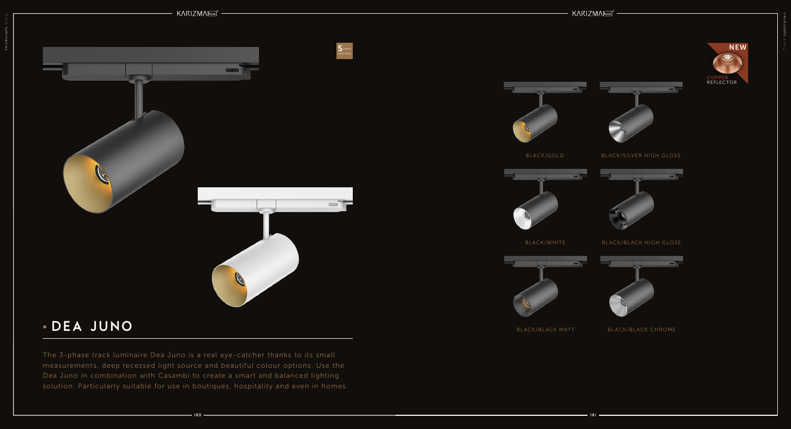## DEA JUNO

The 3-phase track luminaire Dea Juno is a real eye-catcher thanks to its small measurements, deep recessed light source and beautiful colour options. Use the Dea Juno in combination with Casambi to create a smart and balanced lighting solution. Particularly suitable for use in boutiques, hospitality and even in homes.





BLACK/SILVER HIGH GLOSS



## BLACK/BLACK HIGH GLOSS



BLACK/BLACK CHROME



BLACK/WHITE



BLACK/BLACK MATT